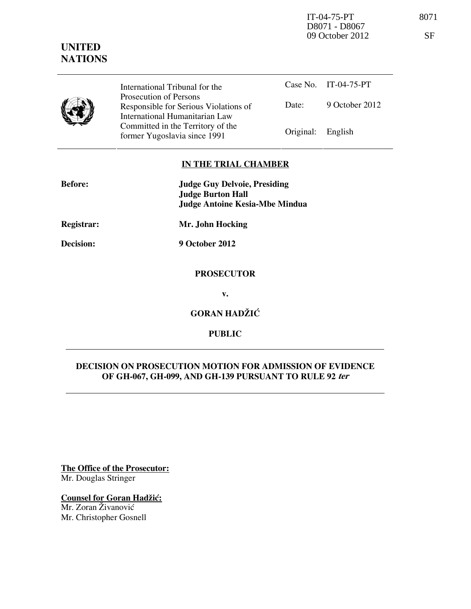IT-04-75-PT 8071 D8071 - D8067 09 October 2012 SF

# **UNITED NATIONS**

|  | International Tribunal for the                                                                    |                   | Case No. IT-04-75-PT |
|--|---------------------------------------------------------------------------------------------------|-------------------|----------------------|
|  | Prosecution of Persons<br>Responsible for Serious Violations of<br>International Humanitarian Law | Date:             | 9 October 2012       |
|  | Committed in the Territory of the<br>former Yugoslavia since 1991                                 | Original: English |                      |

# **IN THE TRIAL CHAMBER**

| <b>Before:</b> | <b>Judge Guy Delvoie, Presiding</b><br><b>Judge Burton Hall</b><br><b>Judge Antoine Kesia-Mbe Mindua</b> |
|----------------|----------------------------------------------------------------------------------------------------------|
| Registrar:     | Mr. John Hocking                                                                                         |
| Decision:      | 9 October 2012                                                                                           |
|                | <b>PROSECUTOR</b>                                                                                        |
|                | v.                                                                                                       |
|                | <b>GORAN HADŽIĆ</b>                                                                                      |

**PUBLIC** 

# **DECISION ON PROSECUTION MOTION FOR ADMISSION OF EVIDENCE OF GH-067, GH-099, AND GH-139 PURSUANT TO RULE 92 ter**

**The Office of the Prosecutor:** Mr. Douglas Stringer

**Counsel for Goran Hadžić:** 

Mr. Zoran Živanović Mr. Christopher Gosnell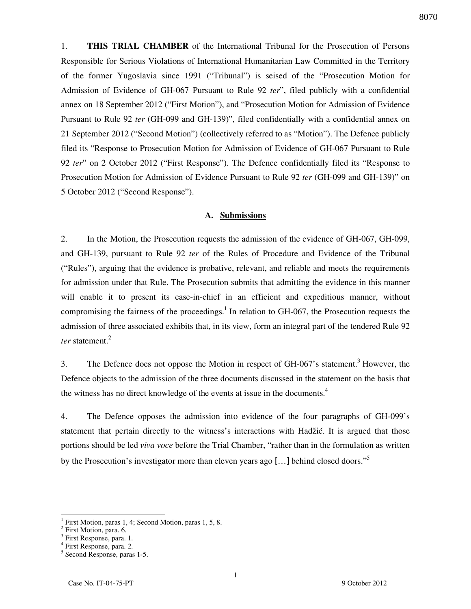1. **THIS TRIAL CHAMBER** of the International Tribunal for the Prosecution of Persons Responsible for Serious Violations of International Humanitarian Law Committed in the Territory of the former Yugoslavia since 1991 ("Tribunal") is seised of the "Prosecution Motion for Admission of Evidence of GH-067 Pursuant to Rule 92 *ter*", filed publicly with a confidential annex on 18 September 2012 ("First Motion"), and "Prosecution Motion for Admission of Evidence Pursuant to Rule 92 *ter* (GH-099 and GH-139)", filed confidentially with a confidential annex on 21 September 2012 ("Second Motion") (collectively referred to as "Motion"). The Defence publicly filed its "Response to Prosecution Motion for Admission of Evidence of GH-067 Pursuant to Rule 92 *ter*" on 2 October 2012 ("First Response"). The Defence confidentially filed its "Response to Prosecution Motion for Admission of Evidence Pursuant to Rule 92 *ter* (GH-099 and GH-139)" on 5 October 2012 ("Second Response").

#### **A. Submissions**

2. In the Motion, the Prosecution requests the admission of the evidence of GH-067, GH-099, and GH-139, pursuant to Rule 92 *ter* of the Rules of Procedure and Evidence of the Tribunal ("Rules"), arguing that the evidence is probative, relevant, and reliable and meets the requirements for admission under that Rule. The Prosecution submits that admitting the evidence in this manner will enable it to present its case-in-chief in an efficient and expeditious manner, without compromising the fairness of the proceedings.<sup>1</sup> In relation to GH-067, the Prosecution requests the admission of three associated exhibits that, in its view, form an integral part of the tendered Rule 92 *ter* statement.<sup>2</sup>

3. The Defence does not oppose the Motion in respect of GH-067's statement.<sup>3</sup> However, the Defence objects to the admission of the three documents discussed in the statement on the basis that the witness has no direct knowledge of the events at issue in the documents.<sup>4</sup>

4. The Defence opposes the admission into evidence of the four paragraphs of GH-099's statement that pertain directly to the witness's interactions with Hadžić. It is argued that those portions should be led *viva voce* before the Trial Chamber, "rather than in the formulation as written by the Prosecution's investigator more than eleven years ago [...] behind closed doors."<sup>5</sup>

<sup>1</sup> First Motion, paras 1, 4; Second Motion, paras 1, 5, 8.

<sup>&</sup>lt;sup>2</sup> First Motion, para. 6.

<sup>&</sup>lt;sup>3</sup> First Response, para. 1.

<sup>4</sup> First Response, para. 2.

<sup>5</sup> Second Response, paras 1-5.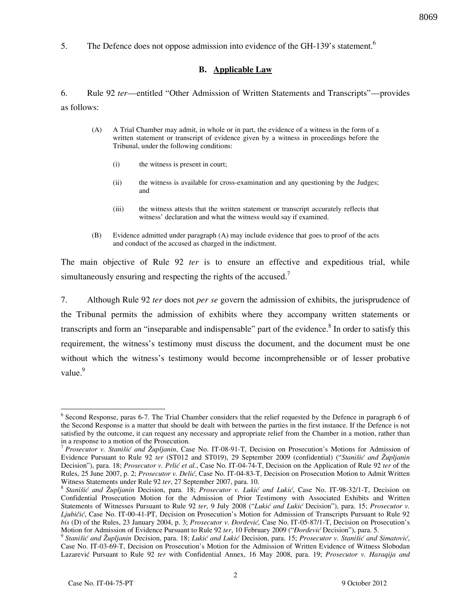5. The Defence does not oppose admission into evidence of the GH-139's statement.<sup>6</sup>

### **B. Applicable Law**

6. Rule 92 *ter*—entitled "Other Admission of Written Statements and Transcripts"—provides as follows:

- (A) A Trial Chamber may admit, in whole or in part, the evidence of a witness in the form of a written statement or transcript of evidence given by a witness in proceedings before the Tribunal, under the following conditions:
	- (i) the witness is present in court;
	- (ii) the witness is available for cross-examination and any questioning by the Judges; and
	- (iii) the witness attests that the written statement or transcript accurately reflects that witness' declaration and what the witness would say if examined.
- (B) Evidence admitted under paragraph (A) may include evidence that goes to proof of the acts and conduct of the accused as charged in the indictment.

The main objective of Rule 92 *ter* is to ensure an effective and expeditious trial, while simultaneously ensuring and respecting the rights of the accused.<sup>7</sup>

7. Although Rule 92 *ter* does not *per se* govern the admission of exhibits, the jurisprudence of the Tribunal permits the admission of exhibits where they accompany written statements or transcripts and form an "inseparable and indispensable" part of the evidence.<sup>8</sup> In order to satisfy this requirement, the witness's testimony must discuss the document, and the document must be one without which the witness's testimony would become incomprehensible or of lesser probative value.<sup>9</sup>

 $\overline{a}$ <sup>6</sup> Second Response, paras 6-7. The Trial Chamber considers that the relief requested by the Defence in paragraph 6 of the Second Response is a matter that should be dealt with between the parties in the first instance. If the Defence is not satisfied by the outcome, it can request any necessary and appropriate relief from the Chamber in a motion, rather than in a response to a motion of the Prosecution.

<sup>7</sup> *Prosecutor v. Stanišić and Župljanin*, Case No. IT-08-91-T, Decision on Prosecution's Motions for Admission of Evidence Pursuant to Rule 92 *ter* (ST012 and ST019), 29 September 2009 (confidential) ("*Stanišić and Župljanin* Decision"), para. 18; *Prosecutor v. Prlić et al.*, Case No. IT-04-74-T, Decision on the Application of Rule 92 *ter* of the Rules, 25 June 2007, p. 2; *Prosecutor v. Delić*, Case No. IT-04-83-T, Decision on Prosecution Motion to Admit Written Witness Statements under Rule 92 *ter*, 27 September 2007, para. 10.

<sup>&</sup>lt;sup>8</sup> Stanišić and Župljanin Decision, para. 18; Prosecutor v. Lukić and Lukić, Case No. IT-98-32/1-T, Decision on Confidential Prosecution Motion for the Admission of Prior Testimony with Associated Exhibits and Written Statements of Witnesses Pursuant to Rule 92 ter, 9 July 2008 ("Lukić and Lukić Decision"), para. 15; *Prosecutor v. Ljubičić*, Case No. IT-00-41-PT, Decision on Prosecution's Motion for Admission of Transcripts Pursuant to Rule 92 *bis* (D) of the Rules, 23 January 2004, p. 3; *Prosecutor v. Đorđević*, Case No. IT-05-87/1-T, Decision on Prosecution's Motion for Admission of Evidence Pursuant to Rule 92 *ter*, 10 February 2009 ("*Đorđević* Decision"), para. 5.

<sup>&</sup>lt;sup>9</sup> Stanišić and Župljanin Decision, para. 18; Lukić and Lukić Decision, para. 15; Prosecutor v. Stanišić and Simatović, Case No. IT-03-69-T, Decision on Prosecution's Motion for the Admission of Written Evidence of Witness Slobodan Lazarevi} Pursuant to Rule 92 *ter* with Confidential Annex, 16 May 2008, para. 19; *Prosecutor v. Haraqija and*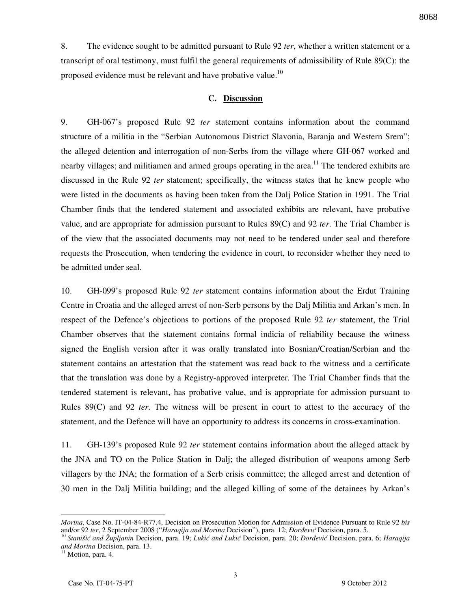8. The evidence sought to be admitted pursuant to Rule 92 *ter*, whether a written statement or a transcript of oral testimony, must fulfil the general requirements of admissibility of Rule 89(C): the

#### **C. Discussion**

proposed evidence must be relevant and have probative value.<sup>10</sup>

9. GH-067's proposed Rule 92 *ter* statement contains information about the command structure of a militia in the "Serbian Autonomous District Slavonia, Baranja and Western Srem"; the alleged detention and interrogation of non-Serbs from the village where GH-067 worked and nearby villages; and militiamen and armed groups operating in the area.<sup>11</sup> The tendered exhibits are discussed in the Rule 92 *ter* statement; specifically, the witness states that he knew people who were listed in the documents as having been taken from the Dalj Police Station in 1991. The Trial Chamber finds that the tendered statement and associated exhibits are relevant, have probative value, and are appropriate for admission pursuant to Rules 89(C) and 92 *ter*. The Trial Chamber is of the view that the associated documents may not need to be tendered under seal and therefore requests the Prosecution, when tendering the evidence in court, to reconsider whether they need to be admitted under seal.

10. GH-099's proposed Rule 92 *ter* statement contains information about the Erdut Training Centre in Croatia and the alleged arrest of non-Serb persons by the Dalj Militia and Arkan's men. In respect of the Defence's objections to portions of the proposed Rule 92 *ter* statement, the Trial Chamber observes that the statement contains formal indicia of reliability because the witness signed the English version after it was orally translated into Bosnian/Croatian/Serbian and the statement contains an attestation that the statement was read back to the witness and a certificate that the translation was done by a Registry-approved interpreter. The Trial Chamber finds that the tendered statement is relevant, has probative value, and is appropriate for admission pursuant to Rules 89(C) and 92 *ter*. The witness will be present in court to attest to the accuracy of the statement, and the Defence will have an opportunity to address its concerns in cross-examination.

11. GH-139's proposed Rule 92 *ter* statement contains information about the alleged attack by the JNA and TO on the Police Station in Dalj; the alleged distribution of weapons among Serb villagers by the JNA; the formation of a Serb crisis committee; the alleged arrest and detention of 30 men in the Dalj Militia building; and the alleged killing of some of the detainees by Arkan's

8068

*Morina*, Case No. IT-04-84-R77.4, Decision on Prosecution Motion for Admission of Evidence Pursuant to Rule 92 *bis* and/or 92 ter, 2 September 2008 ("*Haraqija and Morina Decision*"), para. 12; *Đorđević Decision*, para. 5.

<sup>&</sup>lt;sup>10</sup> Stanišić and Župljanin Decision, para. 19; Lukić and Lukić Decision, para. 20; *Đorđević* Decision, para. 6; *Haraqija and Morina* Decision, para. 13.

<sup>&</sup>lt;sup>11</sup> Motion, para. 4.